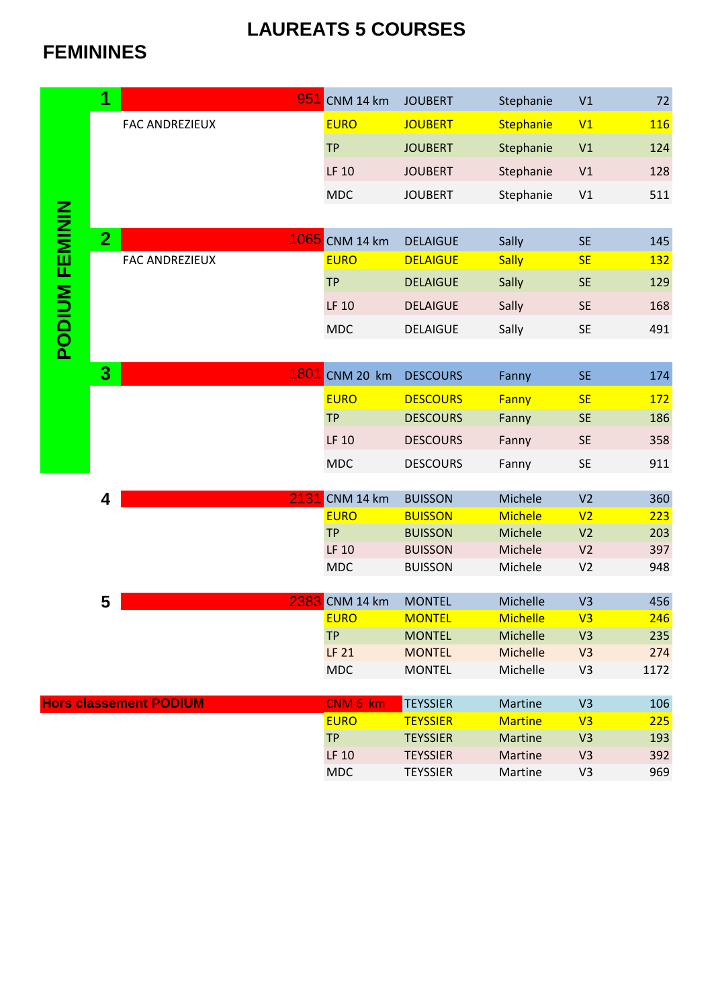## **LAUREATS 5 COURSES**

## **FEMININES**

|                       | 1                       | 951                           | CNM 14 km                  | <b>JOUBERT</b>                     | Stephanie             | V1                               | 72         |
|-----------------------|-------------------------|-------------------------------|----------------------------|------------------------------------|-----------------------|----------------------------------|------------|
|                       |                         | <b>FAC ANDREZIEUX</b>         | <b>EURO</b>                | <b>JOUBERT</b>                     | Stephanie             | V1                               | <b>116</b> |
|                       |                         |                               | <b>TP</b>                  | <b>JOUBERT</b>                     | Stephanie             | V1                               | 124        |
|                       |                         |                               | LF 10                      | <b>JOUBERT</b>                     | Stephanie             | V1                               | 128        |
|                       |                         |                               | <b>MDC</b>                 | <b>JOUBERT</b>                     | Stephanie             | V1                               | 511        |
|                       |                         |                               |                            |                                    |                       |                                  |            |
| <b>PODIUM FEMININ</b> | $\overline{2}$          |                               | 1065 CNM 14 km             |                                    |                       |                                  | 145        |
|                       |                         | <b>FAC ANDREZIEUX</b>         | <b>EURO</b>                | <b>DELAIGUE</b><br><b>DELAIGUE</b> | Sally<br><b>Sally</b> | <b>SE</b><br><b>SE</b>           | <u>132</u> |
|                       |                         |                               |                            |                                    |                       |                                  |            |
|                       |                         |                               | <b>TP</b>                  | <b>DELAIGUE</b>                    | Sally                 | <b>SE</b>                        | 129        |
|                       |                         |                               | LF 10                      | <b>DELAIGUE</b>                    | Sally                 | <b>SE</b>                        | 168        |
|                       |                         |                               | <b>MDC</b>                 | <b>DELAIGUE</b>                    | Sally                 | SE                               | 491        |
|                       |                         |                               |                            |                                    |                       |                                  |            |
|                       | $\overline{\mathbf{3}}$ | 1801                          | CNM 20 km                  | <b>DESCOURS</b>                    | Fanny                 | <b>SE</b>                        | 174        |
|                       |                         |                               | <b>EURO</b>                | <b>DESCOURS</b>                    | Fanny                 | <b>SE</b>                        | 172        |
|                       |                         |                               | <b>TP</b>                  | <b>DESCOURS</b>                    | Fanny                 | <b>SE</b>                        | 186        |
|                       |                         |                               | LF 10                      | <b>DESCOURS</b>                    | Fanny                 | <b>SE</b>                        | 358        |
|                       |                         |                               | <b>MDC</b>                 | <b>DESCOURS</b>                    | Fanny                 | <b>SE</b>                        | 911        |
|                       |                         |                               |                            |                                    |                       |                                  |            |
|                       | 4                       | 2131                          | CNM 14 km                  | <b>BUISSON</b>                     | Michele               | V <sub>2</sub>                   | 360        |
|                       |                         |                               | <b>EURO</b>                | <b>BUISSON</b>                     | <b>Michele</b>        | V <sub>2</sub>                   | 223        |
|                       |                         |                               | <b>TP</b>                  | <b>BUISSON</b>                     | Michele<br>Michele    | V <sub>2</sub>                   | 203        |
|                       |                         |                               | <b>LF 10</b><br><b>MDC</b> | <b>BUISSON</b><br><b>BUISSON</b>   | Michele               | V <sub>2</sub><br>V <sub>2</sub> | 397<br>948 |
|                       |                         |                               |                            |                                    |                       |                                  |            |
|                       | 5                       | 2383                          | CNM 14 km                  | <b>MONTEL</b>                      | Michelle              | V <sub>3</sub>                   | 456        |
|                       |                         |                               | <b>EURO</b>                | <b>MONTEL</b>                      | <b>Michelle</b>       | V3                               | 246        |
|                       |                         |                               | <b>TP</b>                  | <b>MONTEL</b>                      | Michelle              | V <sub>3</sub>                   | 235        |
|                       |                         |                               | <b>LF 21</b>               | <b>MONTEL</b>                      | Michelle              | V <sub>3</sub>                   | 274        |
|                       |                         |                               | <b>MDC</b>                 | <b>MONTEL</b>                      | Michelle              | V <sub>3</sub>                   | 1172       |
|                       |                         | <b>Hors classement PODIUM</b> | CNM 6 km                   | <b>TEYSSIER</b>                    | Martine               | V <sub>3</sub>                   | 106        |
|                       |                         |                               | <b>EURO</b>                | <b>TEYSSIER</b>                    | <b>Martine</b>        | V <sub>3</sub>                   | 225        |
|                       |                         |                               | <b>TP</b>                  | <b>TEYSSIER</b>                    | <b>Martine</b>        | V <sub>3</sub>                   | 193        |
|                       |                         |                               | LF 10                      | <b>TEYSSIER</b>                    | Martine               | V <sub>3</sub>                   | 392        |
|                       |                         |                               | <b>MDC</b>                 | <b>TEYSSIER</b>                    | Martine               | V <sub>3</sub>                   | 969        |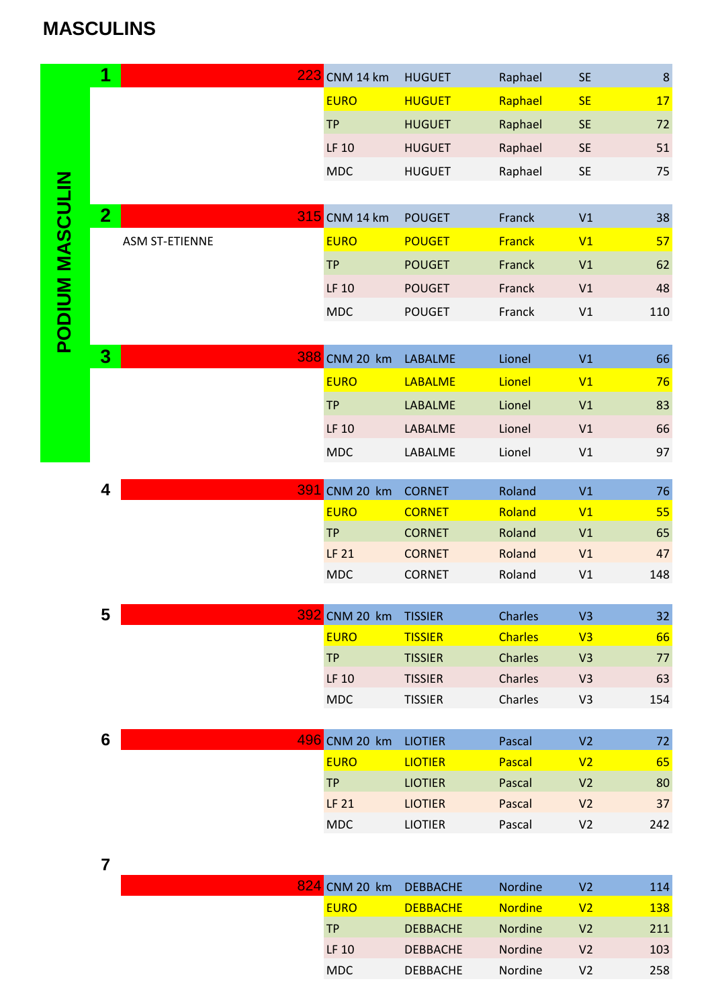## **MASCULINS**

|                        | 1              |                       | <b>223</b> CNM 14 km | <b>HUGUET</b>                    | Raphael            | <b>SE</b>                        | $\boldsymbol{8}$ |
|------------------------|----------------|-----------------------|----------------------|----------------------------------|--------------------|----------------------------------|------------------|
|                        |                |                       | <b>EURO</b>          | <b>HUGUET</b>                    | Raphael            | <b>SE</b>                        | 17               |
|                        |                |                       | <b>TP</b>            | <b>HUGUET</b>                    | Raphael            | <b>SE</b>                        | 72               |
|                        |                |                       | LF 10                | <b>HUGUET</b>                    | Raphael            | <b>SE</b>                        | 51               |
|                        |                |                       | <b>MDC</b>           | <b>HUGUET</b>                    | Raphael            | $\mathsf{SE}\xspace$             | 75               |
|                        |                |                       |                      |                                  |                    |                                  |                  |
| <b>PODIUM MASCULIN</b> | 2 <sub>1</sub> |                       | 315 CNM 14 km        | <b>POUGET</b>                    | Franck             | V1                               | $38\,$           |
|                        |                | <b>ASM ST-ETIENNE</b> | <b>EURO</b>          | <b>POUGET</b>                    | <b>Franck</b>      | V1                               | 57               |
|                        |                |                       | <b>TP</b>            | <b>POUGET</b>                    | Franck             | V1                               | 62               |
|                        |                |                       | LF 10                | <b>POUGET</b>                    | Franck             | V1                               | 48               |
|                        |                |                       | <b>MDC</b>           | <b>POUGET</b>                    | Franck             | V1                               | 110              |
|                        |                |                       |                      |                                  |                    |                                  |                  |
|                        | 3 <sup>1</sup> |                       | 388 CNM 20 km        | LABALME                          | Lionel             | V1                               | 66               |
|                        |                |                       | <b>EURO</b>          | <b>LABALME</b>                   | Lionel             | V1                               | 76               |
|                        |                |                       | <b>TP</b>            | LABALME                          | Lionel             | V1                               | 83               |
|                        |                |                       | LF 10                | LABALME                          | Lionel             | V1                               | 66               |
|                        |                |                       | <b>MDC</b>           |                                  | Lionel             | V1                               | 97               |
|                        |                |                       |                      | LABALME                          |                    |                                  |                  |
|                        | 4              | 391                   | CNM 20 km            | <b>CORNET</b>                    | Roland             | V1                               | 76               |
|                        |                |                       | <b>EURO</b>          | <b>CORNET</b>                    | Roland             | V1                               | 55               |
|                        |                | <b>TP</b>             | <b>CORNET</b>        | Roland                           | V1                 | 65                               |                  |
|                        |                |                       | <b>LF 21</b>         | <b>CORNET</b>                    | Roland             | V1                               | 47               |
|                        |                | <b>MDC</b>            | <b>CORNET</b>        | Roland                           | V1                 | 148                              |                  |
|                        |                |                       |                      |                                  |                    |                                  |                  |
|                        | 5              |                       | 392 CNM 20 km        | <b>TISSIER</b>                   | Charles            | V <sub>3</sub>                   | 32               |
|                        |                |                       | <b>EURO</b>          | <b>TISSIER</b>                   | <b>Charles</b>     | V3                               | 66               |
|                        |                |                       | <b>TP</b>            | <b>TISSIER</b>                   | Charles            | V <sub>3</sub>                   | 77               |
|                        |                |                       | LF 10<br><b>MDC</b>  | <b>TISSIER</b><br><b>TISSIER</b> | Charles<br>Charles | V <sub>3</sub><br>V <sub>3</sub> | 63<br>154        |
|                        |                |                       |                      |                                  |                    |                                  |                  |
|                        | 6              |                       | 496 CNM 20 km        | <b>LIOTIER</b>                   | Pascal             | V <sub>2</sub>                   | $72\,$           |
|                        |                |                       | <b>EURO</b>          | <b>LIOTIER</b>                   | Pascal             | V <sub>2</sub>                   | 65               |
|                        |                |                       | <b>TP</b>            | <b>LIOTIER</b>                   | Pascal             | V <sub>2</sub>                   | 80               |
|                        |                |                       | LF 21                | <b>LIOTIER</b>                   | Pascal             | V <sub>2</sub>                   | 37               |
|                        |                |                       | <b>MDC</b>           | <b>LIOTIER</b>                   | Pascal             | V <sub>2</sub>                   | 242              |
|                        |                |                       |                      |                                  |                    |                                  |                  |
|                        | $\overline{7}$ |                       |                      |                                  |                    |                                  |                  |
|                        |                |                       | 824 CNM 20 km        | <b>DEBBACHE</b>                  | Nordine            | V <sub>2</sub>                   | 114              |
|                        |                |                       | <b>EURO</b>          | <b>DEBBACHE</b>                  | <b>Nordine</b>     | V <sub>2</sub>                   | <b>138</b>       |
|                        |                |                       | <b>TP</b>            | <b>DEBBACHE</b>                  | Nordine            | V <sub>2</sub>                   | 211              |
|                        |                |                       | LF 10                | <b>DEBBACHE</b>                  | Nordine            | V <sub>2</sub>                   | 103              |

MDC DEBBACHE Nordine V2 258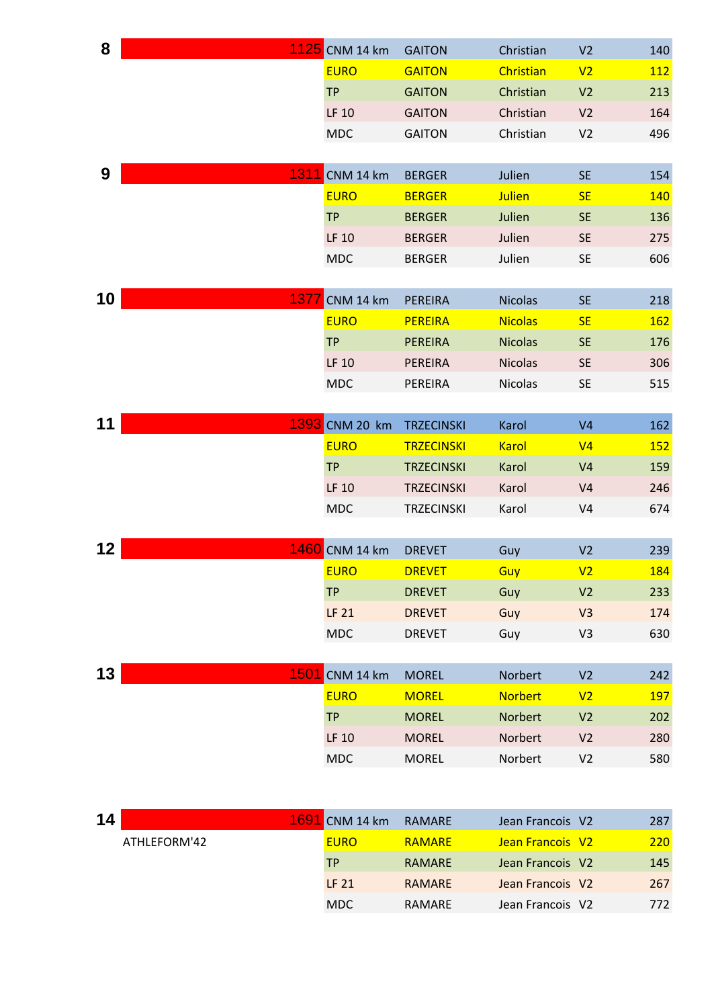| 8               |              | 1125 CNM 14 km                | <b>GAITON</b>                          | Christian             | V <sub>2</sub>                   | 140        |
|-----------------|--------------|-------------------------------|----------------------------------------|-----------------------|----------------------------------|------------|
|                 |              | <b>EURO</b>                   | <b>GAITON</b>                          | Christian             | V <sub>2</sub>                   | 112        |
|                 |              | <b>TP</b>                     | <b>GAITON</b>                          | Christian             | V <sub>2</sub>                   | 213        |
|                 |              | LF 10                         | <b>GAITON</b>                          | Christian             | V <sub>2</sub>                   | 164        |
|                 |              | <b>MDC</b>                    | <b>GAITON</b>                          | Christian             | V <sub>2</sub>                   | 496        |
|                 |              |                               |                                        |                       |                                  |            |
| 9               | 1311         | CNM 14 km                     | <b>BERGER</b>                          | Julien                | <b>SE</b>                        | 154        |
|                 |              | <b>EURO</b>                   | <b>BERGER</b>                          | <b>Julien</b>         | <b>SE</b>                        | 140        |
|                 |              | <b>TP</b>                     | <b>BERGER</b>                          | Julien                | <b>SE</b>                        | 136        |
|                 |              | LF 10                         | <b>BERGER</b>                          | Julien                | <b>SE</b>                        | 275        |
|                 |              | <b>MDC</b>                    | <b>BERGER</b>                          | Julien                | <b>SE</b>                        | 606        |
|                 |              |                               |                                        |                       |                                  |            |
| 10 <sub>1</sub> | 1377         | CNM 14 km                     | <b>PEREIRA</b>                         | <b>Nicolas</b>        | <b>SE</b>                        | 218        |
|                 |              | <b>EURO</b>                   | <b>PEREIRA</b>                         | <b>Nicolas</b>        | <b>SE</b>                        | 162        |
|                 |              | <b>TP</b>                     | <b>PEREIRA</b>                         | <b>Nicolas</b>        | <b>SE</b>                        | 176        |
|                 |              | LF 10                         | PEREIRA                                | <b>Nicolas</b>        | <b>SE</b>                        | 306        |
|                 |              | <b>MDC</b>                    | PEREIRA                                | <b>Nicolas</b>        | <b>SE</b>                        | 515        |
| 11              |              |                               |                                        |                       |                                  |            |
|                 |              | 1393 CNM 20 km<br><b>EURO</b> | <b>TRZECINSKI</b>                      | Karol                 | V <sub>4</sub>                   | 162        |
|                 |              | <b>TP</b>                     | <b>TRZECINSKI</b><br><b>TRZECINSKI</b> | <b>Karol</b><br>Karol | V <sub>4</sub><br>V <sub>4</sub> | 152<br>159 |
|                 |              | LF 10                         | <b>TRZECINSKI</b>                      | Karol                 | V <sub>4</sub>                   | 246        |
|                 |              | <b>MDC</b>                    | <b>TRZECINSKI</b>                      | Karol                 | V <sub>4</sub>                   | 674        |
|                 |              |                               |                                        |                       |                                  |            |
| 12 <sub>2</sub> |              | 1460 CNM 14 km                | <b>DREVET</b>                          | Guy                   | V <sub>2</sub>                   | 239        |
|                 |              | <b>EURO</b>                   | <b>DREVET</b>                          | Guy                   | V <sub>2</sub>                   | 184        |
|                 |              | <b>TP</b>                     | <b>DREVET</b>                          | Guy                   | V <sub>2</sub>                   | 233        |
|                 |              | <b>LF 21</b>                  | <b>DREVET</b>                          | Guy                   | V3                               | 174        |
|                 |              | <b>MDC</b>                    | <b>DREVET</b>                          | Guy                   | V <sub>3</sub>                   | 630        |
|                 |              |                               |                                        |                       |                                  |            |
| 13              | 1501         | CNM 14 km                     | <b>MOREL</b>                           | Norbert               | V <sub>2</sub>                   | 242        |
|                 |              | <b>EURO</b>                   | <b>MOREL</b>                           | <b>Norbert</b>        | V <sub>2</sub>                   | <b>197</b> |
|                 |              | <b>TP</b>                     | <b>MOREL</b>                           | Norbert               | V <sub>2</sub>                   | 202        |
|                 |              | LF 10                         | <b>MOREL</b>                           | Norbert               | V <sub>2</sub>                   | 280        |
|                 |              | <b>MDC</b>                    | <b>MOREL</b>                           | Norbert               | V <sub>2</sub>                   | 580        |
|                 |              |                               |                                        |                       |                                  |            |
|                 |              |                               |                                        |                       |                                  |            |
| 14              | 1691         | CNM 14 km                     | <b>RAMARE</b>                          | Jean Francois V2      |                                  | 287        |
|                 | ATHLEFORM'42 | <b>EURO</b>                   | <b>RAMARE</b>                          | Jean Francois V2      |                                  | 220        |
|                 |              | <b>TP</b>                     | <b>RAMARE</b>                          | Jean Francois V2      |                                  | 145        |
|                 |              | <b>LF 21</b>                  | <b>RAMARE</b>                          | Jean Francois V2      |                                  | 267        |

MDC RAMARE Jean Francois V2 772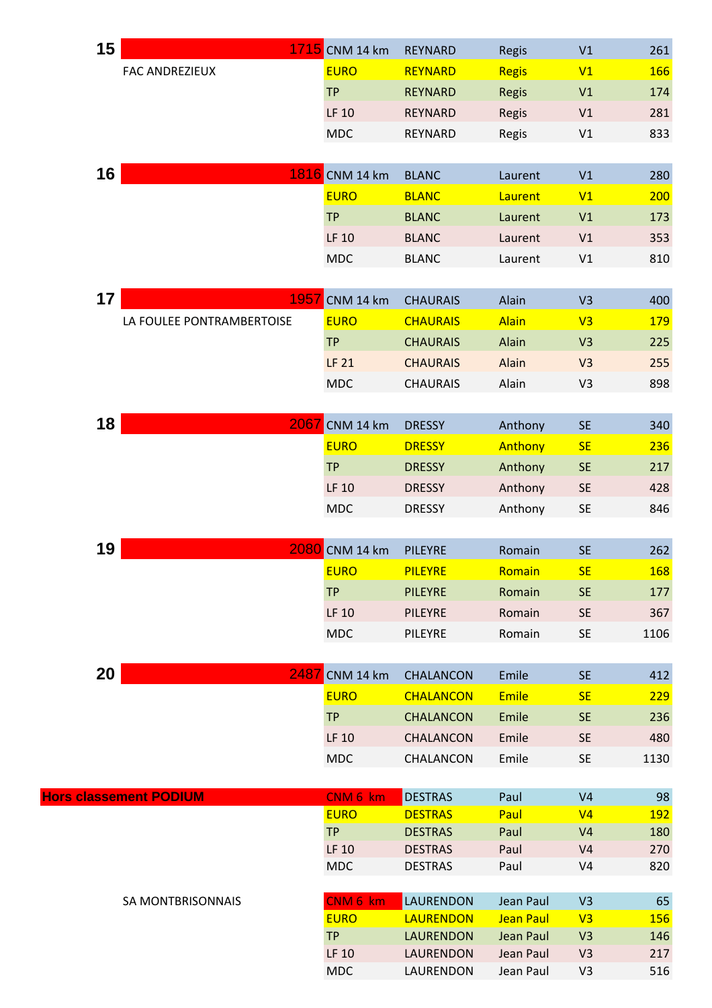| 15 |                               | 1715 CNM 14 km          | <b>REYNARD</b>                   | Regis                  | V1                               | 261              |
|----|-------------------------------|-------------------------|----------------------------------|------------------------|----------------------------------|------------------|
|    | <b>FAC ANDREZIEUX</b>         | <b>EURO</b>             | <b>REYNARD</b>                   | <b>Regis</b>           | V1                               | 166              |
|    |                               | <b>TP</b>               | <b>REYNARD</b>                   | <b>Regis</b>           | V1                               | 174              |
|    |                               | LF 10                   | REYNARD                          | <b>Regis</b>           | V1                               | 281              |
|    |                               | <b>MDC</b>              | REYNARD                          | Regis                  | V1                               | 833              |
|    |                               |                         |                                  |                        |                                  |                  |
| 16 |                               | 1816 CNM 14 km          | <b>BLANC</b>                     | Laurent                | V1                               | 280              |
|    |                               | <b>EURO</b>             | <b>BLANC</b>                     | Laurent                | V1                               | 200              |
|    |                               | <b>TP</b>               | <b>BLANC</b>                     | Laurent                | V1                               | 173              |
|    |                               | LF 10                   | <b>BLANC</b>                     | Laurent                | V1                               | 353              |
|    |                               | <b>MDC</b>              | <b>BLANC</b>                     | Laurent                | V1                               | 810              |
|    |                               |                         |                                  |                        |                                  |                  |
| 17 | 1957                          | CNM 14 km               | <b>CHAURAIS</b>                  | Alain                  | V <sub>3</sub>                   | 400              |
|    | LA FOULEE PONTRAMBERTOISE     | <b>EURO</b>             | <b>CHAURAIS</b>                  | <b>Alain</b>           | V3                               | <b>179</b>       |
|    |                               | <b>TP</b>               | <b>CHAURAIS</b>                  | Alain                  | V <sub>3</sub>                   | 225              |
|    |                               | <b>LF 21</b>            | <b>CHAURAIS</b>                  | Alain                  | V3                               | 255              |
|    |                               | <b>MDC</b>              | <b>CHAURAIS</b>                  | Alain                  | V <sub>3</sub>                   | 898              |
|    |                               |                         |                                  |                        |                                  |                  |
| 18 | 2067                          | CNM 14 km               | <b>DRESSY</b>                    | Anthony                | <b>SE</b>                        | 340              |
|    |                               | <b>EURO</b>             | <b>DRESSY</b>                    | Anthony                | <b>SE</b>                        | 236              |
|    |                               | <b>TP</b>               | <b>DRESSY</b>                    | Anthony                | <b>SE</b>                        | 217              |
|    |                               | LF 10                   | <b>DRESSY</b>                    | Anthony                | SE                               | 428              |
|    |                               | <b>MDC</b>              | <b>DRESSY</b>                    | Anthony                | <b>SE</b>                        | 846              |
|    |                               |                         |                                  |                        |                                  |                  |
| 19 | 2080                          | CNM 14 km               | <b>PILEYRE</b>                   | Romain                 | <b>SE</b>                        | 262              |
|    |                               | <b>EURO</b>             | <b>PILEYRE</b>                   | Romain                 | <b>SE</b>                        | <b>168</b>       |
|    |                               | <b>TP</b>               | <b>PILEYRE</b>                   | Romain                 | <b>SE</b>                        | 177              |
|    |                               | LF 10                   | <b>PILEYRE</b>                   | Romain                 | <b>SE</b>                        | 367              |
|    |                               | <b>MDC</b>              | PILEYRE                          | Romain                 | <b>SE</b>                        | 1106             |
|    |                               |                         |                                  |                        |                                  |                  |
| 20 | 2487                          | CNM 14 km               | <b>CHALANCON</b>                 | Emile                  | <b>SE</b>                        | 412              |
|    |                               | <b>EURO</b>             | <b>CHALANCON</b>                 | <b>Emile</b>           | <b>SE</b>                        | 229              |
|    |                               | <b>TP</b>               | <b>CHALANCON</b>                 | Emile                  | <b>SE</b>                        | 236              |
|    |                               | <b>LF 10</b>            | <b>CHALANCON</b>                 | Emile                  | <b>SE</b>                        | 480              |
|    |                               | <b>MDC</b>              | CHALANCON                        | Emile                  | <b>SE</b>                        | 1130             |
|    |                               |                         |                                  |                        |                                  |                  |
|    | <b>Hors classement PODIUM</b> | CNM 6 km<br><b>EURO</b> | <b>DESTRAS</b><br><b>DESTRAS</b> | Paul<br>Paul           | V <sub>4</sub><br>V <sub>4</sub> | 98<br><b>192</b> |
|    |                               | <b>TP</b>               | <b>DESTRAS</b>                   | Paul                   | V <sub>4</sub>                   | 180              |
|    |                               | LF 10                   | <b>DESTRAS</b>                   | Paul                   | V <sub>4</sub>                   | 270              |
|    |                               | <b>MDC</b>              | <b>DESTRAS</b>                   | Paul                   | V <sub>4</sub>                   | 820              |
|    |                               |                         |                                  |                        |                                  |                  |
|    | SA MONTBRISONNAIS             | CNM 6 km<br><b>EURO</b> | LAURENDON<br><b>LAURENDON</b>    | Jean Paul<br>Jean Paul | V <sub>3</sub><br>V3             | 65<br><b>156</b> |
|    |                               | <b>TP</b>               | <b>LAURENDON</b>                 | Jean Paul              | V <sub>3</sub>                   | 146              |
|    |                               | LF 10                   | LAURENDON                        | Jean Paul              | V <sub>3</sub>                   | 217              |
|    |                               | <b>MDC</b>              | LAURENDON                        | Jean Paul              | V3                               | 516              |